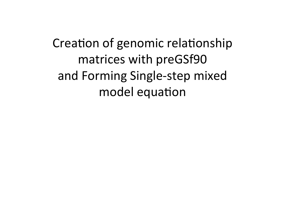Creation of genomic relationship matrices with preGSf90 and Forming Single-step mixed model equation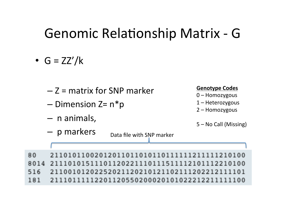#### Genomic Relationship Matrix - G

- $G = ZZ'/k$ 
	- $Z =$  matrix for SNP marker
	- $-$  Dimension Z=  $n*$ p
	- n animals,

#### $-$  **p** markers  $D_{\text{data file with SNP marker}}$

#### **Genotype Codes**

- 0 Homozygous
- $1$  Heterozygous
- 2 Homozygous
- 5 No Call (Missing)

80 2110101100201201101101011011111121111 8014 21110101511101120221110111511112101112210100 516 2110010120225202112021012110211120221211 21110111112201120550200020101022212211111100 181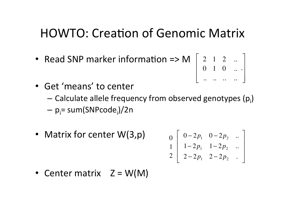#### HOWTO: Creation of Genomic Matrix

- Read SNP marker information => M  $\vert$  2 1 2 ⎡
	- 0 1 0 .. .. .. .. .. .. .  $\overline{\mathsf{L}}$ ⎢ ⎢  $\overline{\phantom{a}}$  $\overline{\phantom{a}}$  $\overline{\phantom{a}}$ ⎥ ⎥  $\overline{\phantom{a}}$

 $\overline{\phantom{a}}$ 

- Get 'means' to center
	- Calculate allele frequency from observed genotypes (p<sub>i</sub>)
	- p<sub>i</sub>= sum(SNPcode<sub>i</sub>)/2n
- Matrix for center W(3,p)  $0 2p_1$   $0 2p_2$  ... ⎢

$$
\begin{bmatrix} 0 \\ 1 \\ 2 \end{bmatrix} \begin{bmatrix} 1-2p_1 & 1-2p_2 & \cdots \\ 2-2p_1 & 2-2p_2 & \cdots \end{bmatrix}
$$

• Center matrix  $Z = W(M)$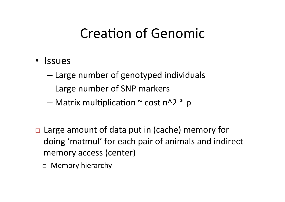#### **Creation of Genomic**

- Issues
	- $-$  Large number of genotyped individuals
	- Large number of SNP markers
	- Matrix multiplication  $\sim$  cost n^2  $*$  p
- $\Box$  Large amount of data put in (cache) memory for doing 'matmul' for each pair of animals and indirect memory access (center)
	- $\Box$  Memory hierarchy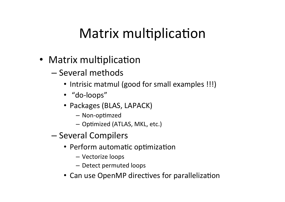### Matrix multiplication

- Matrix multiplication
	- Several methods
		- Intrisic matmul (good for small examples !!!)
		- "do-loops"
		- Packages (BLAS, LAPACK)
			- Non-optimzed
			- $-$  Optimized (ATLAS, MKL, etc.)
	- Several Compilers
		- Perform automatic optimization
			- Vectorize loops
			- Detect permuted loops
		- Can use OpenMP directives for parallelization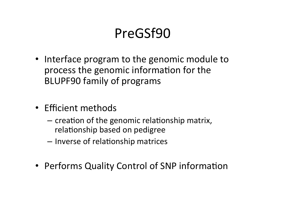#### PreGSf90

- Interface program to the genomic module to process the genomic information for the BLUPF90 family of programs
- Efficient methods
	- $-$  creation of the genomic relationship matrix, relationship based on pedigree
	- $-$  Inverse of relationship matrices
- Performs Quality Control of SNP information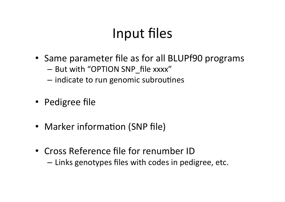#### Input files

- Same parameter file as for all BLUPf90 programs
	- But with "OPTION SNP file xxxx"
	- $-$  indicate to run genomic subroutines
- Pedigree file
- Marker information (SNP file)
- Cross Reference file for renumber ID  $-$  Links genotypes files with codes in pedigree, etc.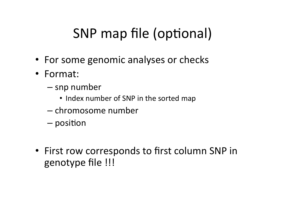# SNP map file (optional)

- For some genomic analyses or checks
- Format:
	- snp number
		- Index number of SNP in the sorted map
	- chromosome number
	- $-$  position
- First row corresponds to first column SNP in genotype file !!!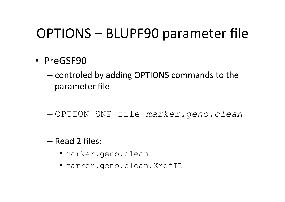#### OPTIONS – BLUPF90 parameter file

- PreGSF90
	- controled by adding OPTIONS commands to the parameter file
	- OPTION SNP\_file *marker.geno.clean*
	- Read 2 files:
		- marker.geno.clean
		- marker.geno.clean.XrefID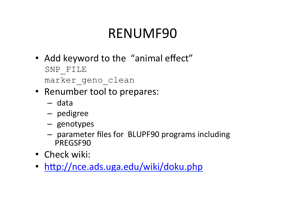## RENUMF90

- Add keyword to the "animal effect" SNP\_FILE marker geno clean
- Renumber tool to prepares:
	- data
	- pedigree
	- genotypes
	- $-$  parameter files for BLUPF90 programs including PREGSF90
- Check wiki:
- http://nce.ads.uga.edu/wiki/doku.php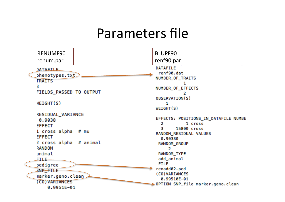#### Parameters file

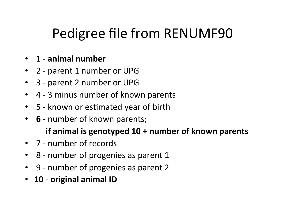## Pedigree file from RENUMF90

#### • 1 - animal number

- 2 parent 1 number or UPG
- 3 parent 2 number or UPG
- 4 3 minus number of known parents
- 5 known or estimated year of birth
- **6** number of known parents;

#### **if animal is genotyped 10 + number of known parents**

- 7 number of records
- 8 number of progenies as parent 1
- 9 number of progenies as parent 2
- 10 original animal ID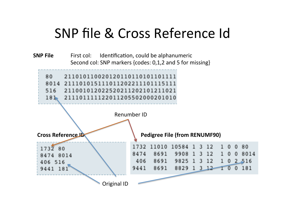#### SNP file & Cross Reference Id

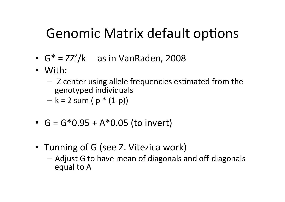#### Genomic Matrix default options

- $G^* = ZZ'/k$  as in VanRaden, 2008
- With:
	- Z center using allele frequencies estimated from the genotyped individuals
	- $k = 2$  sum (  $p * (1-p)$ )
- $G = G*0.95 + A*0.05$  (to invert)
- Tunning of G (see Z. Vitezica work)
	- Adjust G to have mean of diagonals and off-diagonals equal to A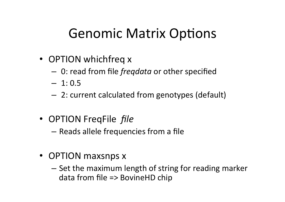#### Genomic Matrix Options

- OPTION whichfreq x
	- 0: read from file *freqdata* or other specified
	- $-1:0.5$
	- $-$  2: current calculated from genotypes (default)
- OPTION FreqFile *file* 
	- $-$  Reads allele frequencies from a file
- OPTION maxsnps x
	- $-$  Set the maximum length of string for reading marker data from file  $\Rightarrow$  BovineHD chip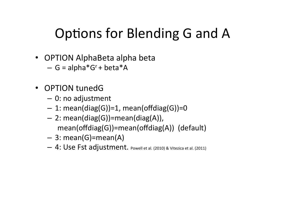## Options for Blending G and A

- OPTION AlphaBeta alpha beta
	- $G = alpha*G<sup>r</sup> + beta*A$
- OPTION tunedG
	- $-$  0: no adjustment
	- $-1:$  mean(diag(G))=1, mean(offdiag(G))=0
	- $-$  2: mean(diag(G))=mean(diag(A)), mean(offdiag(G))=mean(offdiag(A)) (default)
	- $-$  3: mean(G)=mean(A)
	- 4: Use Fst adjustment. Powell et al. (2010) & Vitezica et al. (2011)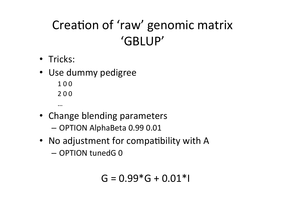## Creation of 'raw' genomic matrix 'GBLUP'

- Tricks:
- Use dummy pedigree
	- 1 0 0 2 0 0
	- …
- Change blending parameters
	- OPTION AlphaBeta 0.99 0.01
- No adjustment for compatibility with A – OPTION tunedG 0

$$
G = 0.99 * G + 0.01 * I
$$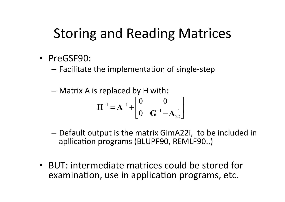### Storing and Reading Matrices

- PreGSF90:
	- $-$  Facilitate the implementation of single-step

$$
- \text{ Matrix A is replaced by H with:}
$$
\n
$$
\mathbf{H}^{-1} = \mathbf{A}^{-1} + \begin{bmatrix} 0 & 0 \\ 0 & \mathbf{G}^{-1} - \mathbf{A}_{22}^{-1} \end{bmatrix}
$$

- $-$  Default output is the matrix GimA22i, to be included in apllication programs (BLUPF90, REMLF90..)
- BUT: intermediate matrices could be stored for examination, use in application programs, etc.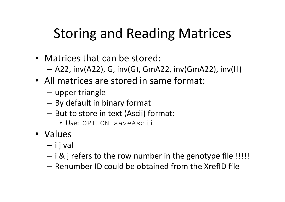## Storing and Reading Matrices

- Matrices that can be stored:
	- $-$  A22, inv(A22), G, inv(G), GmA22, inv(GmA22), inv(H)
- All matrices are stored in same format:
	- upper triangle
	- By default in binary format
	- But to store in text (Ascii) format:
		- Use: OPTION saveAscii
- Values
	- $-$  i j val
	- $-$  i & j refers to the row number in the genotype file !!!!!
	- Renumber ID could be obtained from the XrefID file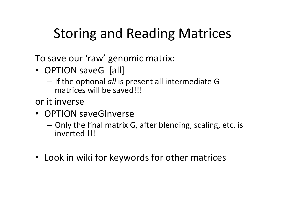## Storing and Reading Matrices

To save our 'raw' genomic matrix:

- OPTION saveG [all]
	- $-$  If the optional *all* is present all intermediate G matrices will be saved!!!

or it inverse

- OPTION saveGInverse
	- $-$  Only the final matrix G, after blending, scaling, etc. is inverted !!!
- Look in wiki for keywords for other matrices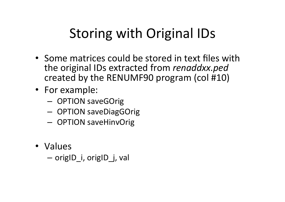# Storing with Original IDs

- Some matrices could be stored in text files with the original IDs extracted from *renaddxx.ped* created by the RENUMF90 program (col #10)
- For example:
	- OPTION saveGOrig
	- OPTION saveDiagGOrig
	- OPTION saveHinvOrig
- Values

– origID\_i, origID\_j, val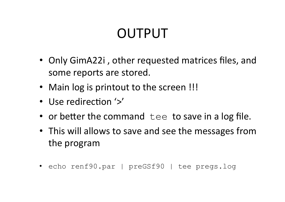# OUTPUT

- Only GimA22i, other requested matrices files, and some reports are stored.
- Main log is printout to the screen !!!
- Use redirection '>'
- or better the command  $\text{tee}$  to save in a log file.
- This will allows to save and see the messages from the program
- echo renf90.par | preGSf90 | tee pregs.log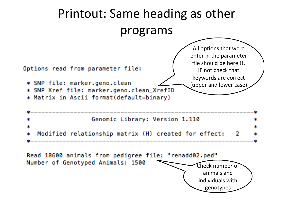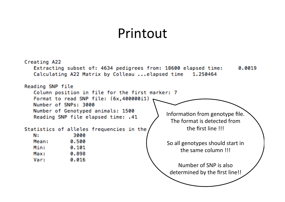#### Printout

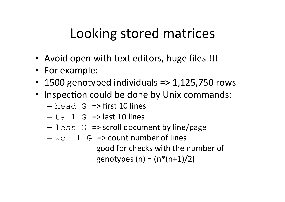## Looking stored matrices

- Avoid open with text editors, huge files !!!
- For example:
- 1500 genotyped individuals => 1,125,750 rows
- Inspection could be done by Unix commands:
	- $-$  head G => first 10 lines
	- $-$  tail G => last 10 lines
	- $-$  less G => scroll document by line/page
	- $-$  wc  $-1$  G  $\Rightarrow$  count number of lines good for checks with the number of genotypes  $(n) = (n*(n+1)/2)$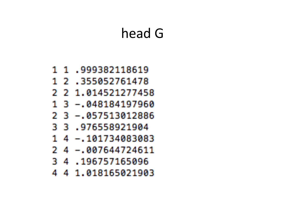#### head G

- 1 1 .999382118619
- 1 2 .355052761478
- 2 2 1.014521277458
- 1 3 -.048184197960
- 2 3 -.057513012886
- 3 3 .976558921904
- 1 4 -.101734083083
- 2 4 -.007644724611
- 3 4 .196757165096
- 4 4 1.018165021903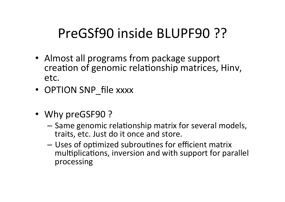### PreGSf90 inside BLUPF90 ??

- Almost all programs from package support creation of genomic relationship matrices, Hinv, etc.
- OPTION SNP file xxxx
- Why preGSF90?
	- Same genomic relationship matrix for several models, traits, etc. Just do it once and store.
	- Uses of optimized subroutines for efficient matrix multiplications, inversion and with support for parallel processing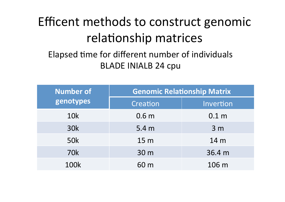## Efficent methods to construct genomic relationship matrices

#### Elapsed time for different number of individuals BLADE INIALB 24 cpu

| <b>Number of</b><br>genotypes | <b>Genomic Relationship Matrix</b> |                  |  |
|-------------------------------|------------------------------------|------------------|--|
|                               | Creation                           | Invertion        |  |
| <b>10k</b>                    | 0.6 <sub>m</sub>                   | 0.1 <sub>m</sub> |  |
| <b>30k</b>                    | 5.4 <sub>m</sub>                   | 3 <sub>m</sub>   |  |
| <b>50k</b>                    | 15 m                               | 14 m             |  |
| <b>70k</b>                    | 30 m                               | 36.4 m           |  |
| <b>100k</b>                   | 60 m                               | 106 m            |  |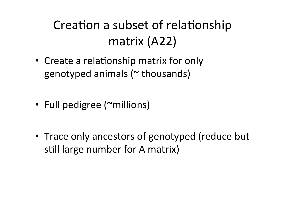### Creation a subset of relationship matrix (A22)

- Create a relationship matrix for only genotyped animals  $($   $\sim$  thousands)
- Full pedigree (~millions)
- Trace only ancestors of genotyped (reduce but still large number for A matrix)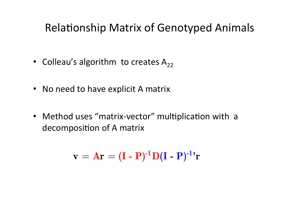#### Relationship Matrix of Genotyped Animals

- Colleau's algorithm to creates  $A_{22}$
- No need to have explicit A matrix
- Method uses "matrix-vector" multiplication with a decomposition of A matrix

$$
\mathbf{v} = \mathbf{A}\mathbf{r} = (\mathbf{I} - \mathbf{P})^{-1} \mathbf{D} (\mathbf{I} - \mathbf{P})^{-1} \mathbf{r}
$$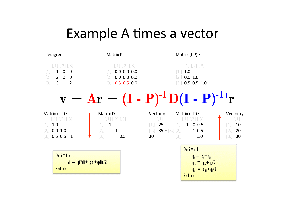### Example A times a vector

| Pedigree                                                                                                                                                                          | Matrix P                                                                                                                       | Matrix $(I-P)^{-1}$                                                                                                                                                     |                                              |
|-----------------------------------------------------------------------------------------------------------------------------------------------------------------------------------|--------------------------------------------------------------------------------------------------------------------------------|-------------------------------------------------------------------------------------------------------------------------------------------------------------------------|----------------------------------------------|
| $[$ ,1] [,2] [,3]<br>$\overline{0}$<br>$\mathbf{1}$<br>$\overline{0}$<br>$\lfloor 1 \rfloor$<br>$2\quad 0\quad 0$<br>$\left[2\right]$<br>$3 \quad 1 \quad 2$<br>$\lceil 3 \rceil$ | $\left[1\right], \left[2\right], \left[3\right]$<br>$[1]$ 0.0 0.0 0.0<br>0.0 0.0 0.0<br>$\left[2\right]$<br>$[3,]$ 0.5 0.5 0.0 | $[$ ,1] [,2] [,3]<br>[1, 1.0]<br>0.0 1.0<br>$\left[2\right]$<br>$0.5$ 0.5 1.0<br>$\lceil 3.1 \rceil$                                                                    |                                              |
|                                                                                                                                                                                   |                                                                                                                                | ${\bf v} = {\bf Ar} = ({\bf I} - {\bf P})^{-1} {\bf D} ({\bf I} - {\bf P})^{-1} {\bf r}$                                                                                |                                              |
| Matrix $(I-P)^{-1}$<br>$[$ ,1] $[$ ,2] $[$ ,3]<br>[1, 1.0]<br>$[2,]$ 0.0 1.0<br>[3, 0.5, 0.5]<br>$\overline{1}$                                                                   | Matrix D<br>$[$ ,1] [,2] [,3]<br>$[1, 1]$<br>[2,]<br>$\mathbf{1}$<br>[3,]<br>0.5                                               | Vector q Matrix $(I-P)^{-1'}$<br>$[$<br>$[$ ,1] [,2] [,3]<br>[1, 1 0 0.5]<br>$\begin{bmatrix} 1 \end{bmatrix}$ 25<br>10.5<br>$[2, 35 = [3, 12, 2]$<br>30<br>[3,]<br>1.0 | Vector $r2$<br>$[$<br>10<br>20<br>30<br>[3,] |
| Do $i=1, n$<br>End do                                                                                                                                                             | $yi = qi^*di + (qsi + qdi)/2$                                                                                                  | Do $i=n, 1$<br>$q_i = q_i + r_{2i}$<br>$q_{si} = q_{si} + q_{i}/2$<br>$q_{di} = q_{di} + q_i/2$<br>End do                                                               |                                              |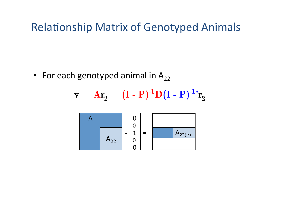#### **Relationship Matrix of Genotyped Animals**

• For each genotyped animal in  $A_{22}$ 

$$
\mathbf{v} = \mathbf{A}\mathbf{r}_2 = (\mathbf{I} - \mathbf{P})^{-1} \mathbf{D} (\mathbf{I} - \mathbf{P})^{-1} \mathbf{r}_2
$$

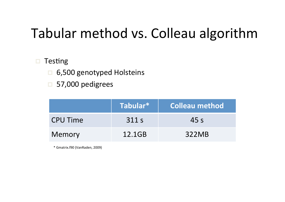## Tabular method vs. Colleau algorithm

#### $\blacksquare$  Testing

- □ 6,500 genotyped Holsteins
- $\Box$  57,000 pedigrees

|                 | Tabular* | <b>Colleau method</b> |
|-----------------|----------|-----------------------|
| <b>CPU Time</b> | 311 s    | 45s                   |
| Memory          | 12.1GB   | 322MB                 |

\* Gmatrix.f90 (VanRaden, 2009)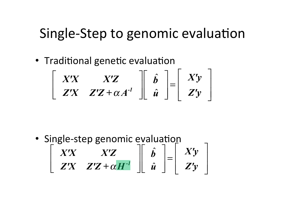#### Single-Step to genomic evaluation

• Traditional genetic evaluation

$$
\left[\begin{array}{cc} X'X & X'Z \\ Z'X & Z'Z + \alpha A^{-1} \end{array}\right]\left[\begin{array}{c} \hat{b} \\ \hat{u} \end{array}\right]=\left[\begin{array}{c} X'y \\ Z'y \end{array}\right]
$$

*X'X X'Z Z'X Z'Z +*<sup>α</sup> *H-1*  $\begin{array}{c} \hline \end{array}$  $\lfloor$  $\parallel$  $\lfloor$  $\vert$  $\overline{\phantom{a}}$  $\overline{\phantom{a}}$ ⎥  $\hat{\bm{b}}$  $\hat{\bm{u}}$  $\mathsf{L}$  $\lfloor$ ⎢  $\mathsf L$  $\overline{\phantom{a}}$  $\rfloor$  $\overline{\phantom{a}}$ ⎥ = *X'y Z'y*  $\mathsf{L}$  $\lfloor$ ⎢  $\mathsf I$  $\vert$  $\overline{\phantom{a}}$  $\overline{\phantom{a}}$  $\vert$ · Single-step genomic evaluation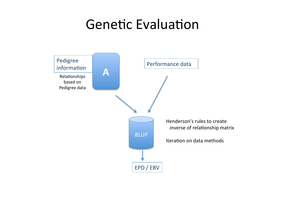#### **Genetic Evaluation**

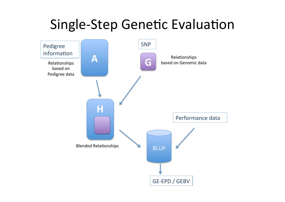#### Single-Step Genetic Evaluation

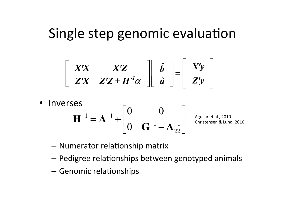#### Single step genomic evaluation

$$
\left[\begin{array}{cc} X'X & X'Z \\ Z'X & Z'Z + H^{-1}\alpha \end{array}\right] \left[\begin{array}{c} \hat{b} \\ \hat{u} \end{array}\right] = \left[\begin{array}{c} X'y \\ Z'y \end{array}\right]
$$

- Inverses  $1 - \lambda^{-1}$  $1 \qquad \mathbf{A}^{-1}$ 22 0 0 0  $^{-1}$   $\lambda$   $^{-}$  $-1$   $\mathbf{A}$  –  $\begin{vmatrix} 0 & 0 \end{vmatrix}$  $H^{-1} = A^{-1} + \begin{bmatrix} 0 & 0 & -A^{-1} \\ 0 & 0 & -A^{-1} \\ 0 & 0 & 0 \end{bmatrix}$  $G^{-1}-A$ Aguilar et al., 2010 Christensen & Lund, 2010
	- $-$  Numerator relationship matrix
	- $-$  Pedigree relationships between genotyped animals
	- Genomic relationships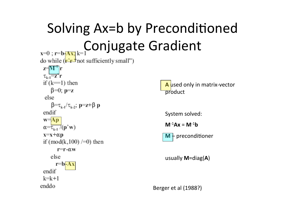Solving Ax=b by Preconditioned s=0; r=b<sub>[Ax;]</sub> k=1 Conjugate Gradient

do while  $(\mathbf{r}^2 \mathbf{r}^3)$  not sufficiently small")  $z = M^{\dagger}r$  $\tau_{\nu}$ , $\overline{Z}$ r if  $(k=1)$  then  $\beta=0$ ;  $p=z$ else  $\beta = \tau_{k,1}/\tau_{k,2}$ ; p=z+ $\beta$  p endif  $W = A p$  $\alpha = \overline{\tau_{k-1}}$  (p'w)  $x=x+\alpha p$ if  $(mod(k,100)/=0)$  then  $r=r-\alpha w$ else  $r = b - Ax$ endif  $k=k+1$ enddo



System solved:

 $M^{-1}Ax = M^{-1}b$ 

 $M +$  preconditioner

usually **M**=diag(**A**) 

Berger et al (1988?)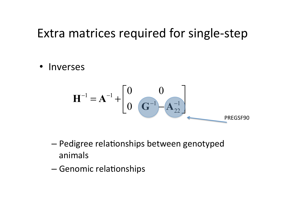#### Extra matrices required for single-step

• Inverses 

$$
\mathbf{H}^{-1} = \mathbf{A}^{-1} + \begin{bmatrix} 0 & 0 \\ 0 & \mathbf{G}^{-1} - \mathbf{A}_{22}^{-1} \end{bmatrix}
$$
 *preGSF90*

- Pedigree relationships between genotyped animals
- Genomic relationships